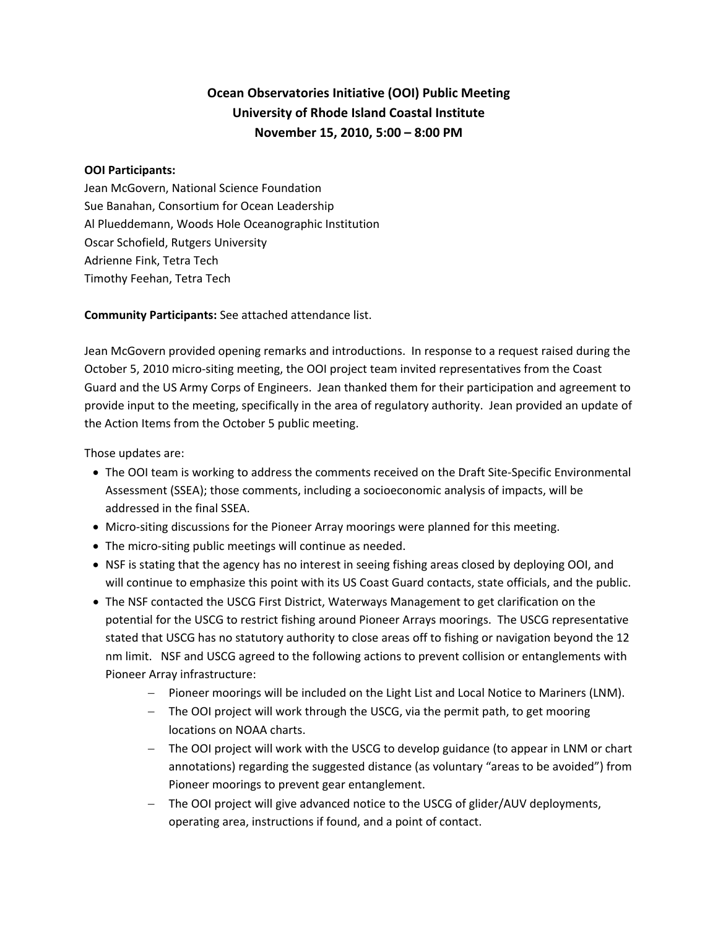# **Ocean Observatories Initiative (OOI) Public Meeting University of Rhode Island Coastal Institute November 15, 2010, 5:00 – 8:00 PM**

#### **OOI Participants:**

Jean McGovern, National Science Foundation Sue Banahan, Consortium for Ocean Leadership Al Plueddemann, Woods Hole Oceanographic Institution Oscar Schofield, Rutgers University Adrienne Fink, Tetra Tech Timothy Feehan, Tetra Tech

**Community Participants:** See attached attendance list.

Jean McGovern provided opening remarks and introductions. In response to a request raised during the October 5, 2010 micro‐siting meeting, the OOI project team invited representatives from the Coast Guard and the US Army Corps of Engineers. Jean thanked them for their participation and agreement to provide input to the meeting, specifically in the area of regulatory authority. Jean provided an update of the Action Items from the October 5 public meeting.

Those updates are:

- The OOI team is working to address the comments received on the Draft Site-Specific Environmental Assessment (SSEA); those comments, including a socioeconomic analysis of impacts, will be addressed in the final SSEA.
- Micro-siting discussions for the Pioneer Array moorings were planned for this meeting.
- The micro‐siting public meetings will continue as needed.
- NSF is stating that the agency has no interest in seeing fishing areas closed by deploying OOI, and will continue to emphasize this point with its US Coast Guard contacts, state officials, and the public.
- The NSF contacted the USCG First District, Waterways Management to get clarification on the potential for the USCG to restrict fishing around Pioneer Arrays moorings. The USCG representative stated that USCG has no statutory authority to close areas off to fishing or navigation beyond the 12 nm limit. NSF and USCG agreed to the following actions to prevent collision or entanglements with Pioneer Array infrastructure:
	- − Pioneer moorings will be included on the Light List and Local Notice to Mariners (LNM).
	- − The OOI project will work through the USCG, via the permit path, to get mooring locations on NOAA charts.
	- − The OOI project will work with the USCG to develop guidance (to appear in LNM or chart annotations) regarding the suggested distance (as voluntary "areas to be avoided") from Pioneer moorings to prevent gear entanglement.
	- − The OOI project will give advanced notice to the USCG of glider/AUV deployments, operating area, instructions if found, and a point of contact.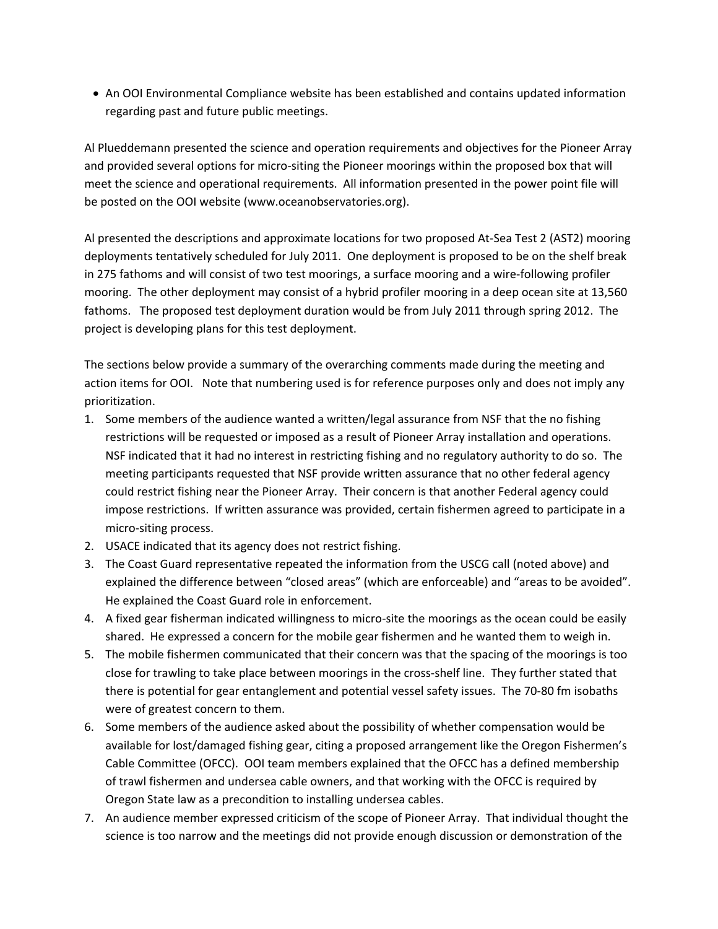• An OOI Environmental Compliance website has been established and contains updated information regarding past and future public meetings.

Al Plueddemann presented the science and operation requirements and objectives for the Pioneer Array and provided several options for micro-siting the Pioneer moorings within the proposed box that will meet the science and operational requirements. All information presented in the power point file will be posted on the OOI website (www.oceanobservatories.org).

Al presented the descriptions and approximate locations for two proposed At‐Sea Test 2 (AST2) mooring deployments tentatively scheduled for July 2011. One deployment is proposed to be on the shelf break in 275 fathoms and will consist of two test moorings, a surface mooring and a wire-following profiler mooring. The other deployment may consist of a hybrid profiler mooring in a deep ocean site at 13,560 fathoms. The proposed test deployment duration would be from July 2011 through spring 2012. The project is developing plans for this test deployment.

The sections below provide a summary of the overarching comments made during the meeting and action items for OOI. Note that numbering used is for reference purposes only and does not imply any prioritization.

- 1. Some members of the audience wanted a written/legal assurance from NSF that the no fishing restrictions will be requested or imposed as a result of Pioneer Array installation and operations. NSF indicated that it had no interest in restricting fishing and no regulatory authority to do so. The meeting participants requested that NSF provide written assurance that no other federal agency could restrict fishing near the Pioneer Array. Their concern is that another Federal agency could impose restrictions. If written assurance was provided, certain fishermen agreed to participate in a micro‐siting process.
- 2. USACE indicated that its agency does not restrict fishing.
- 3. The Coast Guard representative repeated the information from the USCG call (noted above) and explained the difference between "closed areas" (which are enforceable) and "areas to be avoided". He explained the Coast Guard role in enforcement.
- 4. A fixed gear fisherman indicated willingness to micro-site the moorings as the ocean could be easily shared. He expressed a concern for the mobile gear fishermen and he wanted them to weigh in.
- 5. The mobile fishermen communicated that their concern was that the spacing of the moorings is too close for trawling to take place between moorings in the cross‐shelf line. They further stated that there is potential for gear entanglement and potential vessel safety issues. The 70‐80 fm isobaths were of greatest concern to them.
- 6. Some members of the audience asked about the possibility of whether compensation would be available for lost/damaged fishing gear, citing a proposed arrangement like the Oregon Fishermen's Cable Committee (OFCC). OOI team members explained that the OFCC has a defined membership of trawl fishermen and undersea cable owners, and that working with the OFCC is required by Oregon State law as a precondition to installing undersea cables.
- 7. An audience member expressed criticism of the scope of Pioneer Array. That individual thought the science is too narrow and the meetings did not provide enough discussion or demonstration of the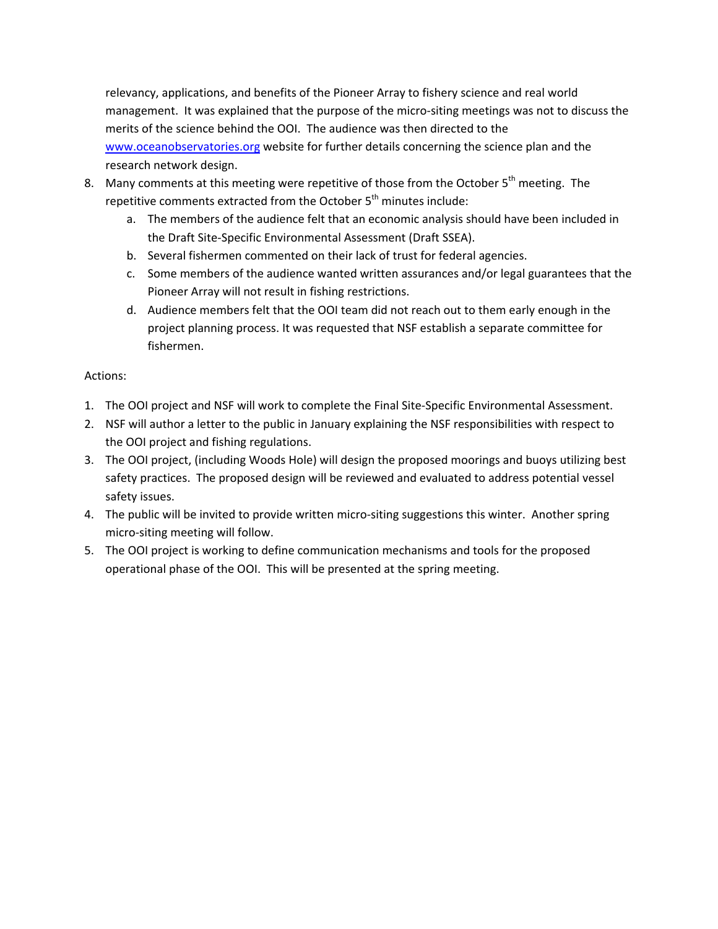relevancy, applications, and benefits of the Pioneer Array to fishery science and real world management. It was explained that the purpose of the micro-siting meetings was not to discuss the merits of the science behind the OOI. The audience was then directed to the www.oceanobservatories.org website for further details concerning the science plan and the research network design.

- 8. Many comments at this meeting were repetitive of those from the October  $5<sup>th</sup>$  meeting. The repetitive comments extracted from the October 5<sup>th</sup> minutes include:
	- a. The members of the audience felt that an economic analysis should have been included in the Draft Site‐Specific Environmental Assessment (Draft SSEA).
	- b. Several fishermen commented on their lack of trust for federal agencies.
	- c. Some members of the audience wanted written assurances and/or legal guarantees that the Pioneer Array will not result in fishing restrictions.
	- d. Audience members felt that the OOI team did not reach out to them early enough in the project planning process. It was requested that NSF establish a separate committee for fishermen.

## Actions:

- 1. The OOI project and NSF will work to complete the Final Site-Specific Environmental Assessment.
- 2. NSF will author a letter to the public in January explaining the NSF responsibilities with respect to the OOI project and fishing regulations.
- 3. The OOI project, (including Woods Hole) will design the proposed moorings and buoys utilizing best safety practices. The proposed design will be reviewed and evaluated to address potential vessel safety issues.
- 4. The public will be invited to provide written micro-siting suggestions this winter. Another spring micro‐siting meeting will follow.
- 5. The OOI project is working to define communication mechanisms and tools for the proposed operational phase of the OOI. This will be presented at the spring meeting.